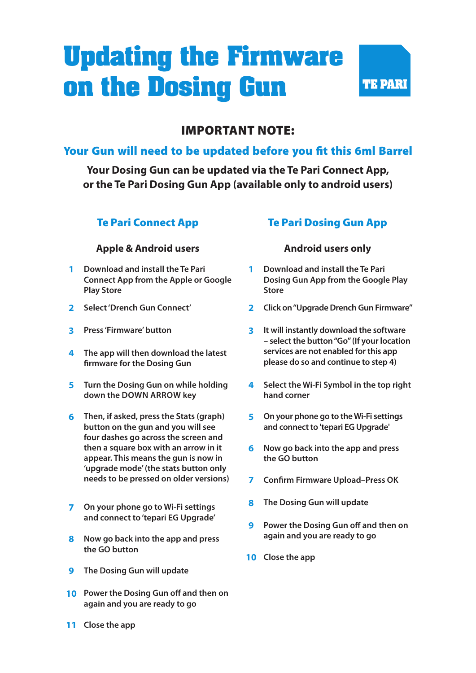# **Updating the Firmware on the Dosing Gun**



## IMPORTANT NOTE:

### Your Gun will need to be updated before you fit this 6ml Barrel

**Your Dosing Gun can be updated via the Te Pari Connect App, or the Te Pari Dosing Gun App (available only to android users)**

### Te Pari Connect App

#### **Apple & Android users**

- **1 Download and install the Te Pari Connect App from the Apple or Google Play Store**
- **2 Select 'Drench Gun Connect'**
- **3 Press 'Firmware' button**
- **4 The app will then download the latest firmware for the Dosing Gun**
- **5 Turn the Dosing Gun on while holding down the DOWN ARROW key**
- **6 Then, if asked, press the Stats (graph) button on the gun and you will see four dashes go across the screen and then a square box with an arrow in it appear. This means the gun is now in 'upgrade mode' (the stats button only needs to be pressed on older versions)**
- **7 On your phone go to Wi-Fi settings and connect to 'tepari EG Upgrade'**
- **8 Now go back into the app and press the GO button**
- **9 The Dosing Gun will update**
- **10 Power the Dosing Gun off and then on again and you are ready to go**

### Te Pari Dosing Gun App

#### **Android users only**

- **1 Download and install the Te Pari Dosing Gun App from the Google Play Store**
- **2 Click on "Upgrade Drench Gun Firmware"**
- **3 It will instantly download the software – select the button "Go" (If your location services are not enabled for this app please do so and continue to step 4)**
- **4 Select the Wi-Fi Symbol in the top right hand corner**
- **5 On your phone go to the Wi-Fi settings and connect to 'tepari EG Upgrade'**
- **6 Now go back into the app and press the GO button**
- **7 Confirm Firmware Upload–Press OK**
- **8 The Dosing Gun will update**
- **9 Power the Dosing Gun off and then on again and you are ready to go**
- **10 Close the app**

**11 Close the app**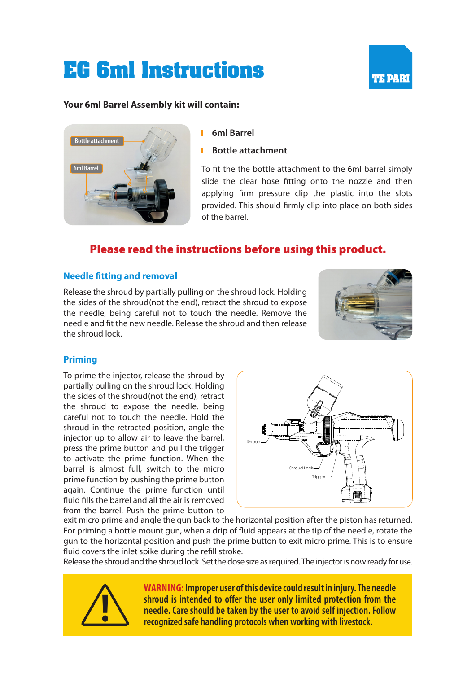## **EG 6ml Instructions**



#### **Your 6ml Barrel Assembly kit will contain:**



- **6ml Barrel**
- **Bottle attachment**

To fit the the bottle attachment to the 6ml barrel simply slide the clear hose fitting onto the nozzle and then applying firm pressure clip the plastic into the slots provided. This should firmly clip into place on both sides of the barrel.

## Please read the instructions before using this product.

#### **Needle fitting and removal**

Release the shroud by partially pulling on the shroud lock. Holding the sides of the shroud(not the end), retract the shroud to expose the needle, being careful not to touch the needle. Remove the needle and fit the new needle. Release the shroud and then release the shroud lock.



#### **Priming**

To prime the injector, release the shroud by partially pulling on the shroud lock. Holding the sides of the shroud(not the end), retract the shroud to expose the needle, being careful not to touch the needle. Hold the shroud in the retracted position, angle the injector up to allow air to leave the barrel, press the prime button and pull the trigger to activate the prime function. When the barrel is almost full, switch to the micro prime function by pushing the prime button again. Continue the prime function until fluid fills the barrel and all the air is removed from the barrel. Push the prime button to



exit micro prime and angle the gun back to the horizontal position after the piston has returned. For priming a bottle mount gun, when a drip of fluid appears at the tip of the needle, rotate the gun to the horizontal position and push the prime button to exit micro prime. This is to ensure fluid covers the inlet spike during the refill stroke.

Release the shroud and the shroud lock. Set the dose size as required. The injector is now ready for use.



**WARNING: Improper user of this device could result in injury. The needle**  shroud is intended to offer the user only limited protection from the<br>needle. Care should be taken by the user to avoid self injection. Follow<br>recognized safe handling protocols when working with livestock.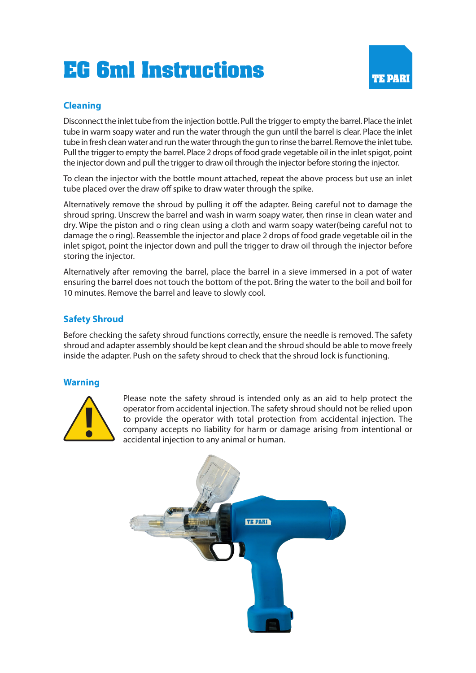## **EG 6ml Instructions**



#### **Cleaning**

Disconnect the inlet tube from the injection bottle. Pull the trigger to empty the barrel. Place the inlet tube in warm soapy water and run the water through the gun until the barrel is clear. Place the inlet tube in fresh clean water and run the water through the gun to rinse the barrel. Remove the inlet tube. Pull the trigger to empty the barrel. Place 2 drops of food grade vegetable oil in the inlet spigot, point the injector down and pull the trigger to draw oil through the injector before storing the injector.

To clean the injector with the bottle mount attached, repeat the above process but use an inlet tube placed over the draw off spike to draw water through the spike.

Alternatively remove the shroud by pulling it off the adapter. Being careful not to damage the shroud spring. Unscrew the barrel and wash in warm soapy water, then rinse in clean water and dry. Wipe the piston and o ring clean using a cloth and warm soapy water(being careful not to damage the o ring). Reassemble the injector and place 2 drops of food grade vegetable oil in the inlet spigot, point the injector down and pull the trigger to draw oil through the injector before storing the injector.

Alternatively after removing the barrel, place the barrel in a sieve immersed in a pot of water ensuring the barrel does not touch the bottom of the pot. Bring the water to the boil and boil for 10 minutes. Remove the barrel and leave to slowly cool.

#### **Safety Shroud**

Before checking the safety shroud functions correctly, ensure the needle is removed. The safety shroud and adapter assembly should be kept clean and the shroud should be able to move freely inside the adapter. Push on the safety shroud to check that the shroud lock is functioning.

#### **Warning**



Please note the safety shroud is intended only as an aid to help protect the **operator from accidental injection.** The safety shroud should not be relied upon to provide the operator with total protection from accidental injection. The company accepts no liability for harm or damage arising from in to provide the operator with total protection from accidental injection. The company accepts no liability for harm or damage arising from intentional or